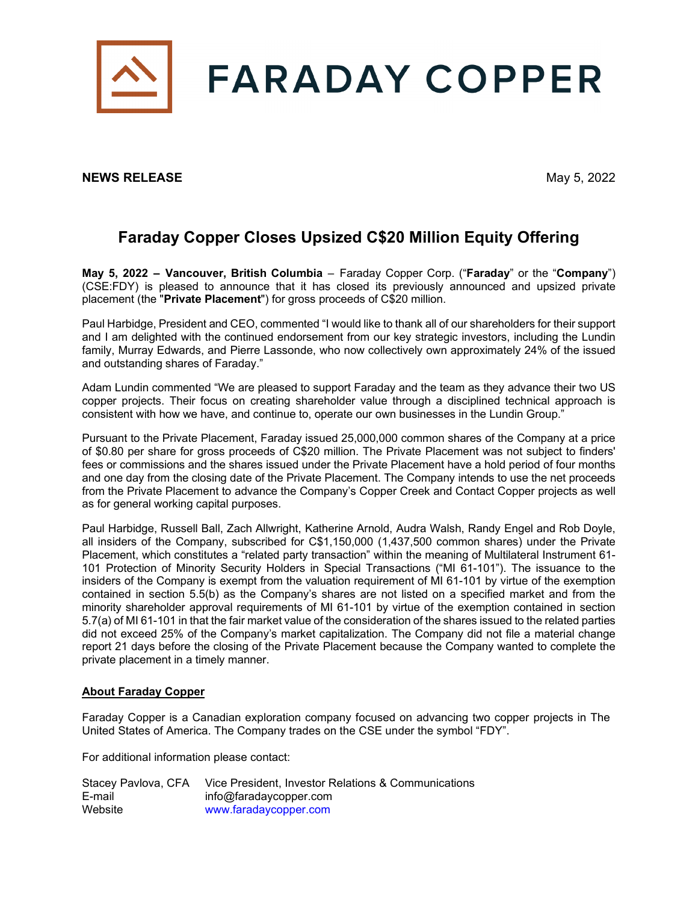

## **NEWS RELEASE** May 5, 2022

## **Faraday Copper Closes Upsized C\$20 Million Equity Offering**

**May 5, 2022 – Vancouver, British Columbia** – Faraday Copper Corp. ("**Faraday**" or the "**Company**") (CSE:FDY) is pleased to announce that it has closed its previously announced and upsized private placement (the "**Private Placement**") for gross proceeds of C\$20 million.

Paul Harbidge, President and CEO, commented "I would like to thank all of our shareholders for their support and I am delighted with the continued endorsement from our key strategic investors, including the Lundin family, Murray Edwards, and Pierre Lassonde, who now collectively own approximately 24% of the issued and outstanding shares of Faraday."

Adam Lundin commented "We are pleased to support Faraday and the team as they advance their two US copper projects. Their focus on creating shareholder value through a disciplined technical approach is consistent with how we have, and continue to, operate our own businesses in the Lundin Group."

Pursuant to the Private Placement, Faraday issued 25,000,000 common shares of the Company at a price of \$0.80 per share for gross proceeds of C\$20 million. The Private Placement was not subject to finders' fees or commissions and the shares issued under the Private Placement have a hold period of four months and one day from the closing date of the Private Placement. The Company intends to use the net proceeds from the Private Placement to advance the Company's Copper Creek and Contact Copper projects as well as for general working capital purposes.

Paul Harbidge, Russell Ball, Zach Allwright, Katherine Arnold, Audra Walsh, Randy Engel and Rob Doyle, all insiders of the Company, subscribed for C\$1,150,000 (1,437,500 common shares) under the Private Placement, which constitutes a "related party transaction" within the meaning of Multilateral Instrument 61- 101 Protection of Minority Security Holders in Special Transactions ("MI 61-101"). The issuance to the insiders of the Company is exempt from the valuation requirement of MI 61-101 by virtue of the exemption contained in section 5.5(b) as the Company's shares are not listed on a specified market and from the minority shareholder approval requirements of MI 61-101 by virtue of the exemption contained in section 5.7(a) of MI 61-101 in that the fair market value of the consideration of the shares issued to the related parties did not exceed 25% of the Company's market capitalization. The Company did not file a material change report 21 days before the closing of the Private Placement because the Company wanted to complete the private placement in a timely manner.

## **About Faraday Copper**

Faraday Copper is a Canadian exploration company focused on advancing two copper projects in The United States of America. The Company trades on the CSE under the symbol "FDY".

For additional information please contact:

| Stacey Pavlova, CFA | Vice President, Investor Relations & Communications |
|---------------------|-----------------------------------------------------|
| E-mail              | info@faradaycopper.com                              |
| Website             | www.faradaycopper.com                               |